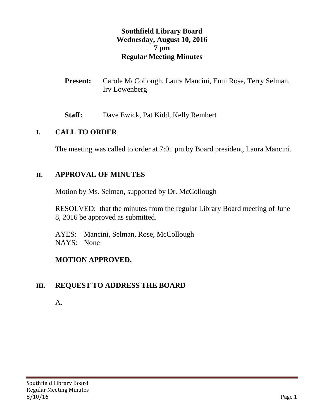### **Southfield Library Board Wednesday, August 10, 2016 7 pm Regular Meeting Minutes**

- **Present:** Carole McCollough, Laura Mancini, Euni Rose, Terry Selman, Irv Lowenberg
- **Staff:** Dave Ewick, Pat Kidd, Kelly Rembert

#### **I. CALL TO ORDER**

The meeting was called to order at 7:01 pm by Board president, Laura Mancini.

### **II. APPROVAL OF MINUTES**

Motion by Ms. Selman, supported by Dr. McCollough

RESOLVED: that the minutes from the regular Library Board meeting of June 8, 2016 be approved as submitted.

AYES: Mancini, Selman, Rose, McCollough NAYS: None

### **MOTION APPROVED.**

### **III. REQUEST TO ADDRESS THE BOARD**

A.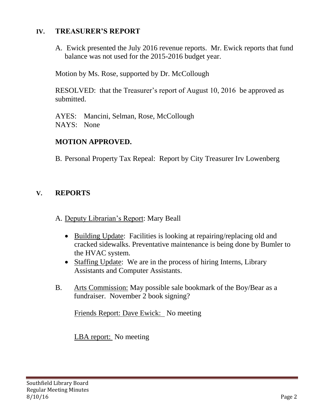#### **IV. TREASURER'S REPORT**

A. Ewick presented the July 2016 revenue reports. Mr. Ewick reports that fund balance was not used for the 2015-2016 budget year.

Motion by Ms. Rose, supported by Dr. McCollough

RESOLVED: that the Treasurer's report of August 10, 2016 be approved as submitted.

AYES: Mancini, Selman, Rose, McCollough NAYS: None

### **MOTION APPROVED.**

B. Personal Property Tax Repeal: Report by City Treasurer Irv Lowenberg

## **V. REPORTS**

- A. Deputy Librarian's Report: Mary Beall
	- Building Update: Facilities is looking at repairing/replacing old and cracked sidewalks. Preventative maintenance is being done by Bumler to the HVAC system.
	- Staffing Update: We are in the process of hiring Interns, Library Assistants and Computer Assistants.
- B. Arts Commission: May possible sale bookmark of the Boy/Bear as a fundraiser. November 2 book signing?

Friends Report: Dave Ewick: No meeting

LBA report: No meeting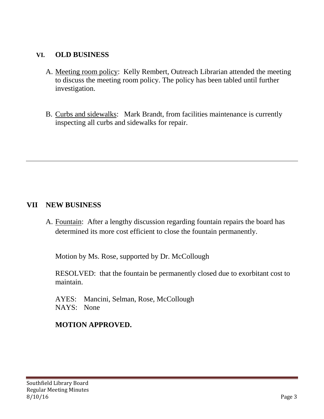### **VI. OLD BUSINESS**

- A. Meeting room policy: Kelly Rembert, Outreach Librarian attended the meeting to discuss the meeting room policy. The policy has been tabled until further investigation.
- B. Curbs and sidewalks: Mark Brandt, from facilities maintenance is currently inspecting all curbs and sidewalks for repair.

### **VII NEW BUSINESS**

A. Fountain: After a lengthy discussion regarding fountain repairs the board has determined its more cost efficient to close the fountain permanently.

Motion by Ms. Rose, supported by Dr. McCollough

RESOLVED: that the fountain be permanently closed due to exorbitant cost to maintain.

AYES: Mancini, Selman, Rose, McCollough NAYS: None

## **MOTION APPROVED.**